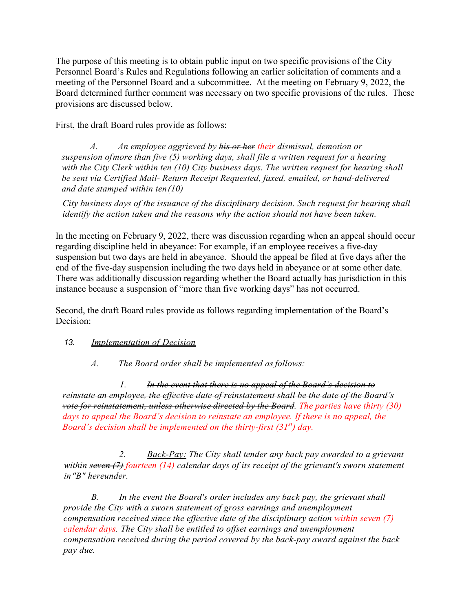The purpose of this meeting is to obtain public input on two specific provisions of the City Personnel Board's Rules and Regulations following an earlier solicitation of comments and a meeting of the Personnel Board and a subcommittee. At the meeting on February 9, 2022, the Board determined further comment was necessary on two specific provisions of the rules. These provisions are discussed below.

First, the draft Board rules provide as follows:

*A. An employee aggrieved by his or her their dismissal, demotion or suspension ofmore than five (5) working days, shall file a written request for a hearing with the City Clerk within ten (10) City business days. The written request for hearing shall*  be sent via Certified Mail- Return Receipt Requested, faxed, emailed, or hand-delivered *and date stamped within ten(10)*

*City business days of the issuance of the disciplinary decision. Such request for hearing shall identify the action taken and the reasons why the action should not have been taken.*

In the meeting on February 9, 2022, there was discussion regarding when an appeal should occur regarding discipline held in abeyance: For example, if an employee receives a five-day suspension but two days are held in abeyance. Should the appeal be filed at five days after the end of the five-day suspension including the two days held in abeyance or at some other date. There was additionally discussion regarding whether the Board actually has jurisdiction in this instance because a suspension of "more than five working days" has not occurred.

Second, the draft Board rules provide as follows regarding implementation of the Board's Decision:

## *13. Implementation of Decision*

*A. The Board order shall be implemented as follows:*

*1. In the event that there is no appeal of the Board's decision to reinstate an employee, the effective date of reinstatement shall be the date of the Board's vote for reinstatement, unless otherwise directed by the Board. The parties have thirty (30) days to appeal the Board's decision to reinstate an employee. If there is no appeal, the Board's decision shall be implemented on the thirty-first (31st) day.* 

*2. Back-Pay: The City shall tender any back pay awarded to a grievant within seven (7) fourteen (14) calendar days of its receipt of the grievant's sworn statement in"B" hereunder.*

*B. In the event the Board's order includes any back pay, the grievant shall provide the City with a sworn statement of gross earnings and unemployment compensation received since the effective date of the disciplinary action within seven (7) calendar days. The City shall be entitled to offset earnings and unemployment compensation received during the period covered by the back-pay award against the back pay due.*